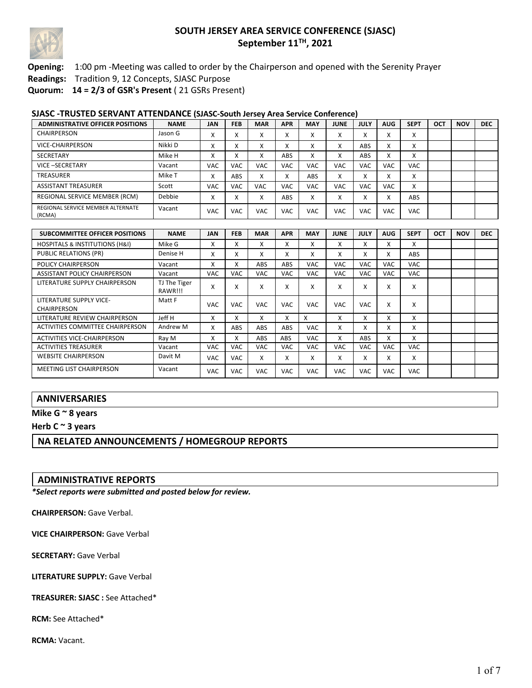

### **Opening:** 1:00 pm -Meeting was called to order by the Chairperson and opened with the Serenity Prayer

**Readings:** Tradition 9, 12 Concepts, SJASC Purpose

**Quorum: 14 = 2/3 of GSR's Present** ( 21 GSRs Present)

#### **SJASC -TRUSTED SERVANT ATTENDANCE (SJASC-South Jersey Area Service Conference)**

| ADMINISTRATIVE OFFICER POSITIONS            | <b>NAME</b> | <b>JAN</b>             | <b>FEB</b> | <b>MAR</b>            | <b>APR</b>   | <b>MAY</b>             | <b>JUNE</b>               | JULY                      | <b>AUG</b>                | <b>SEPT</b> | OCT | <b>NOV</b> | <b>DEC</b> |
|---------------------------------------------|-------------|------------------------|------------|-----------------------|--------------|------------------------|---------------------------|---------------------------|---------------------------|-------------|-----|------------|------------|
| CHAIRPERSON                                 | Jason G     | $\lambda$              | $\lambda$  | $\lambda$             | Λ            | $\checkmark$<br>$\sim$ | $\checkmark$<br>$\lambda$ | $\checkmark$<br>$\lambda$ | $\lambda$                 | x           |     |            |            |
| <b>VICE-CHAIRPERSON</b>                     | Nikki D     | $\lambda$<br>$\lambda$ | $\lambda$  | $\lambda$             | Λ            | $\checkmark$<br>$\sim$ | $\checkmark$<br>$\lambda$ | ABS                       | $\checkmark$<br>$\lambda$ | X           |     |            |            |
| <b>SECRETARY</b>                            | Mike H      |                        | $\lambda$  | $\lambda$             | ABS          | x                      | $\lambda$                 | ABS                       | $\checkmark$<br>л         | x           |     |            |            |
| VICE-SECRETARY                              | Vacant      | <b>VAC</b>             | <b>VAC</b> | <b>VAC</b>            | <b>VAC</b>   | VAC                    | VAC.                      | VAC                       | VAC                       | <b>VAC</b>  |     |            |            |
| <b>TREASURER</b>                            | Mike T      | $\lambda$<br>v         | ABS        | $\mathbf v$<br>$\sim$ | $\cdot$<br>Λ | ABS                    | X                         | $\checkmark$<br>v         | $\checkmark$<br>$\lambda$ | X           |     |            |            |
| <b>ASSISTANT TREASURER</b>                  | Scott       | <b>VAC</b>             | <b>VAC</b> | <b>VAC</b>            | <b>VAC</b>   | VAC                    | <b>VAC</b>                | <b>VAC</b>                | <b>VAC</b>                | X           |     |            |            |
| REGIONAL SERVICE MEMBER (RCM)               | Debbie      | v<br>$\lambda$         | $\lambda$  | $\lambda$             | ABS          | $\checkmark$<br>v      | $\checkmark$<br>v         | $\cdot$<br>$\lambda$      | $\checkmark$<br>v         | ABS         |     |            |            |
| REGIONAL SERVICE MEMBER ALTERNATE<br>(RCMA) | Vacant      | VAC                    | VAC        | <b>VAC</b>            | <b>VAC</b>   | VAC                    | VAC                       | VAC                       | VAC                       | <b>VAC</b>  |     |            |            |

| <b>SUBCOMMITTEE OFFICER POSITIONS</b>         | <b>NAME</b>             | <b>JAN</b> | <b>FEB</b> | <b>MAR</b> | <b>APR</b> | <b>MAY</b> | <b>JUNE</b> | <b>JULY</b> | <b>AUG</b> | <b>SEPT</b> | <b>OCT</b> | <b>NOV</b> | <b>DEC</b> |
|-----------------------------------------------|-------------------------|------------|------------|------------|------------|------------|-------------|-------------|------------|-------------|------------|------------|------------|
| <b>HOSPITALS &amp; INSTITUTIONS (H&amp;I)</b> | Mike G                  | x          | x          | x          | x          | x          | X           | X           | x          | x           |            |            |            |
| PUBLIC RELATIONS (PR)                         | Denise H                | x          | x          | x          | x          | x          | X           | x           | x          | <b>ABS</b>  |            |            |            |
| <b>POLICY CHAIRPERSON</b>                     | Vacant                  | X          | x          | <b>ABS</b> | <b>ABS</b> | <b>VAC</b> | <b>VAC</b>  | <b>VAC</b>  | <b>VAC</b> | <b>VAC</b>  |            |            |            |
| ASSISTANT POLICY CHAIRPERSON                  | Vacant                  | <b>VAC</b> | <b>VAC</b> | VAC.       | <b>VAC</b> | <b>VAC</b> | <b>VAC</b>  | <b>VAC</b>  | <b>VAC</b> | <b>VAC</b>  |            |            |            |
| LITERATURE SUPPLY CHAIRPERSON                 | TJ The Tiger<br>RAWR!!! | X          | x          | x          | X          | x          | X           | X           | X          | X           |            |            |            |
| LITERATURE SUPPLY VICE-<br><b>CHAIRPERSON</b> | Matt F                  | <b>VAC</b> | <b>VAC</b> | <b>VAC</b> | <b>VAC</b> | <b>VAC</b> | <b>VAC</b>  | <b>VAC</b>  | X          | x           |            |            |            |
| LITERATURE REVIEW CHAIRPERSON                 | Jeff H                  | x          | x          | x          | x          | x          | x           | x           | x          | x           |            |            |            |
| ACTIVITIES COMMITTEE CHAIRPERSON              | Andrew M                | x          | <b>ABS</b> | <b>ABS</b> | <b>ABS</b> | <b>VAC</b> | x           | x           | x          | x           |            |            |            |
| ACTIVITIES VICE-CHAIRPERSON                   | Ray M                   | x          | x          | ABS        | ABS        | <b>VAC</b> | x           | ABS         | x          | x           |            |            |            |
| <b>ACTIVITIES TREASURER</b>                   | Vacant                  | <b>VAC</b> | <b>VAC</b> | <b>VAC</b> | <b>VAC</b> | VAC.       | <b>VAC</b>  | <b>VAC</b>  | <b>VAC</b> | <b>VAC</b>  |            |            |            |
| <b>WEBSITE CHAIRPERSON</b>                    | Davit M                 | <b>VAC</b> | <b>VAC</b> | X          | x          | x          | X           | X           | X          | x           |            |            |            |
| <b>MEETING LIST CHAIRPERSON</b>               | Vacant                  | <b>VAC</b> | <b>VAC</b> | VAC        | <b>VAC</b> | <b>VAC</b> | <b>VAC</b>  | <b>VAC</b>  | <b>VAC</b> | <b>VAC</b>  |            |            |            |

#### **ANNIVERSARIES**

**Mike G ~ 8 years** 

**Herb C ~ 3 years**

**NA RELATED ANNOUNCEMENTS / HOMEGROUP REPORTS**

#### **ADMINISTRATIVE REPORTS**

*\*Select reports were submitted and posted below for review.*

**CHAIRPERSON:** Gave Verbal.

**VICE CHAIRPERSON:** Gave Verbal

**SECRETARY:** Gave Verbal

**LITERATURE SUPPLY:** Gave Verbal

**TREASURER: SJASC :** See Attached\*

**RCM:** See Attached\*

**RCMA:** Vacant.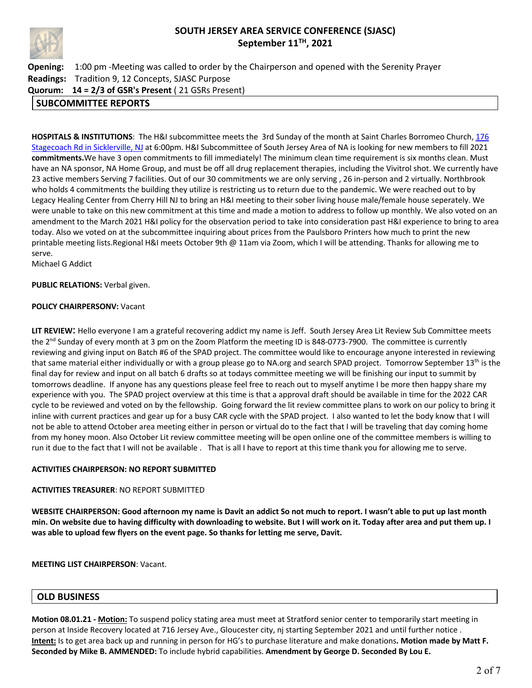

**Opening:** 1:00 pm -Meeting was called to order by the Chairperson and opened with the Serenity Prayer **Readings:** Tradition 9, 12 Concepts, SJASC Purpose **Quorum: 14 = 2/3 of GSR's Present** ( 21 GSRs Present)

## **SUBCOMMITTEE REPORTS**

**HOSPITALS & INSTITUTIONS**: The H&I subcommittee meets the 3rd Sunday of the month at Saint Charles Borromeo Church, 176 Stagecoach Rd in Sicklerville, NJ at 6:00pm. H&I Subcommittee of South Jersey Area of NA is looking for new members to fill 2021 **commitments.**We have 3 open commitments to fill immediately! The minimum clean time requirement is six months clean. Must have an NA sponsor, NA Home Group, and must be off all drug replacement therapies, including the Vivitrol shot. We currently have 23 active members Serving 7 facilities. Out of our 30 commitments we are only serving , 26 in-person and 2 virtually. Northbrook who holds 4 commitments the building they utilize is restricting us to return due to the pandemic. We were reached out to by Legacy Healing Center from Cherry Hill NJ to bring an H&I meeting to their sober living house male/female house seperately. We were unable to take on this new commitment at this time and made a motion to address to follow up monthly. We also voted on an amendment to the March 2021 H&I policy for the observation period to take into consideration past H&I experience to bring to area today. Also we voted on at the subcommittee inquiring about prices from the Paulsboro Printers how much to print the new printable meeting lists.Regional H&I meets October 9th @ 11am via Zoom, which I will be attending. Thanks for allowing me to serve.

Michael G Addict

#### **PUBLIC RELATIONS:** Verbal given.

#### **POLICY CHAIRPERSONV:** Vacant

**LIT REVIEW**: Hello everyone I am a grateful recovering addict my name is Jeff. South Jersey Area Lit Review Sub Committee meets the 2<sup>nd</sup> Sunday of every month at 3 pm on the Zoom Platform the meeting ID is 848-0773-7900. The committee is currently reviewing and giving input on Batch #6 of the SPAD project. The committee would like to encourage anyone interested in reviewing that same material either individually or with a group please go to NA.org and search SPAD project. Tomorrow September 13<sup>th</sup> is the final day for review and input on all batch 6 drafts so at todays committee meeting we will be finishing our input to summit by tomorrows deadline. If anyone has any questions please feel free to reach out to myself anytime I be more then happy share my experience with you. The SPAD project overview at this time is that a approval draft should be available in time for the 2022 CAR cycle to be reviewed and voted on by the fellowship. Going forward the lit review committee plans to work on our policy to bring it inline with current practices and gear up for a busy CAR cycle with the SPAD project. I also wanted to let the body know that I will not be able to attend October area meeting either in person or virtual do to the fact that I will be traveling that day coming home from my honey moon. Also October Lit review committee meeting will be open online one of the committee members is willing to run it due to the fact that I will not be available . That is all I have to report at this time thank you for allowing me to serve.

#### **ACTIVITIES CHAIRPERSON: NO REPORT SUBMITTED**

#### **ACTIVITIES TREASURER**: NO REPORT SUBMITTED

**WEBSITE CHAIRPERSON: Good afternoon my name is Davit an addict So not much to report. I wasn't able to put up last month min. On website due to having difficulty with downloading to website. But I will work on it. Today after area and put them up. I was able to upload few flyers on the event page. So thanks for letting me serve, Davit.**

**MEETING LIST CHAIRPERSON**: Vacant.

#### **OLD BUSINESS**

**Motion 08.01.21 - Motion:** To suspend policy stating area must meet at Stratford senior center to temporarily start meeting in person at Inside Recovery located at 716 Jersey Ave., Gloucester city, nj starting September 2021 and until further notice . **Intent:** Is to get area back up and running in person for HG's to purchase literature and make donations**. Motion made by Matt F. Seconded by Mike B. AMMENDED:** To include hybrid capabilities. **Amendment by George D. Seconded By Lou E.**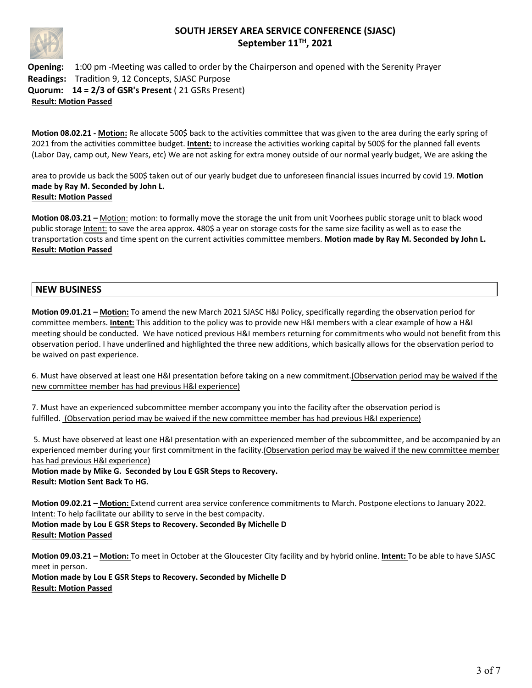

**Opening:** 1:00 pm -Meeting was called to order by the Chairperson and opened with the Serenity Prayer **Readings:** Tradition 9, 12 Concepts, SJASC Purpose **Quorum: 14 = 2/3 of GSR's Present** ( 21 GSRs Present) **Result: Motion Passed**

**Motion 08.02.21 - Motion:** Re allocate 500\$ back to the activities committee that was given to the area during the early spring of 2021 from the activities committee budget. **Intent:** to increase the activities working capital by 500\$ for the planned fall events (Labor Day, camp out, New Years, etc) We are not asking for extra money outside of our normal yearly budget, We are asking the

area to provide us back the 500\$ taken out of our yearly budget due to unforeseen financial issues incurred by covid 19. **Motion made by Ray M. Seconded by John L. Result: Motion Passed** 

**Motion 08.03.21 –** Motion: motion: to formally move the storage the unit from unit Voorhees public storage unit to black wood public storage Intent: to save the area approx. 480\$ a year on storage costs for the same size facility as well as to ease the transportation costs and time spent on the current activities committee members. **Motion made by Ray M. Seconded by John L. Result: Motion Passed**

## **NEW BUSINESS**

**Motion 09.01.21 – Motion:** To amend the new March 2021 SJASC H&I Policy, specifically regarding the observation period for committee members. **Intent:** This addition to the policy was to provide new H&I members with a clear example of how a H&I meeting should be conducted. We have noticed previous H&I members returning for commitments who would not benefit from this observation period. I have underlined and highlighted the three new additions, which basically allows for the observation period to be waived on past experience.

6. Must have observed at least one H&I presentation before taking on a new commitment.(Observation period may be waived if the new committee member has had previous H&I experience)

7. Must have an experienced subcommittee member accompany you into the facility after the observation period is fulfilled. (Observation period may be waived if the new committee member has had previous H&I experience)

5. Must have observed at least one H&I presentation with an experienced member of the subcommittee, and be accompanied by an experienced member during your first commitment in the facility.(Observation period may be waived if the new committee member has had previous H&I experience)

**Motion made by Mike G. Seconded by Lou E GSR Steps to Recovery. Result: Motion Sent Back To HG.**

**Motion 09.02.21 – Motion:** Extend current area service conference commitments to March. Postpone elections to January 2022. Intent: To help facilitate our ability to serve in the best compacity. **Motion made by Lou E GSR Steps to Recovery. Seconded By Michelle D Result: Motion Passed**

**Motion 09.03.21 – Motion:** To meet in October at the Gloucester City facility and by hybrid online. **Intent:** To be able to have SJASC meet in person. **Motion made by Lou E GSR Steps to Recovery. Seconded by Michelle D Result: Motion Passed**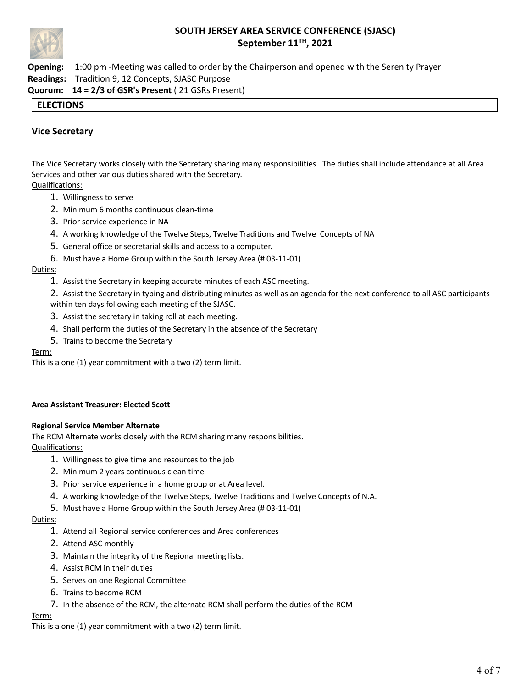

**Opening:** 1:00 pm -Meeting was called to order by the Chairperson and opened with the Serenity Prayer **Readings:** Tradition 9, 12 Concepts, SJASC Purpose **Quorum: 14 = 2/3 of GSR's Present** ( 21 GSRs Present)

## **ELECTIONS**

## **Vice Secretary**

The Vice Secretary works closely with the Secretary sharing many responsibilities. The duties shall include attendance at all Area Services and other various duties shared with the Secretary. Qualifications:

- 1. Willingness to serve
- 2. Minimum 6 months continuous clean-time
- 3. Prior service experience in NA
- 4. A working knowledge of the Twelve Steps, Twelve Traditions and Twelve Concepts of NA
- 5. General office or secretarial skills and access to a computer.
- 6. Must have a Home Group within the South Jersey Area (# 03-11-01)

#### Duties:

- 1. Assist the Secretary in keeping accurate minutes of each ASC meeting.
- 2. Assist the Secretary in typing and distributing minutes as well as an agenda for the next conference to all ASC participants within ten days following each meeting of the SJASC.
- 3. Assist the secretary in taking roll at each meeting.
- 4. Shall perform the duties of the Secretary in the absence of the Secretary
- 5. Trains to become the Secretary

#### Term:

This is a one (1) year commitment with a two (2) term limit.

#### **Area Assistant Treasurer: Elected Scott**

#### **Regional Service Member Alternate**

The RCM Alternate works closely with the RCM sharing many responsibilities. Qualifications:

- 1. Willingness to give time and resources to the job
- 2. Minimum 2 years continuous clean time
- 3. Prior service experience in a home group or at Area level.
- 4. A working knowledge of the Twelve Steps, Twelve Traditions and Twelve Concepts of N.A.
- 5. Must have a Home Group within the South Jersey Area (# 03-11-01)

#### Duties:

- 1. Attend all Regional service conferences and Area conferences
- 2. Attend ASC monthly
- 3. Maintain the integrity of the Regional meeting lists.
- 4. Assist RCM in their duties
- 5. Serves on one Regional Committee
- 6. Trains to become RCM
- 7. In the absence of the RCM, the alternate RCM shall perform the duties of the RCM

#### Term:

This is a one (1) year commitment with a two (2) term limit.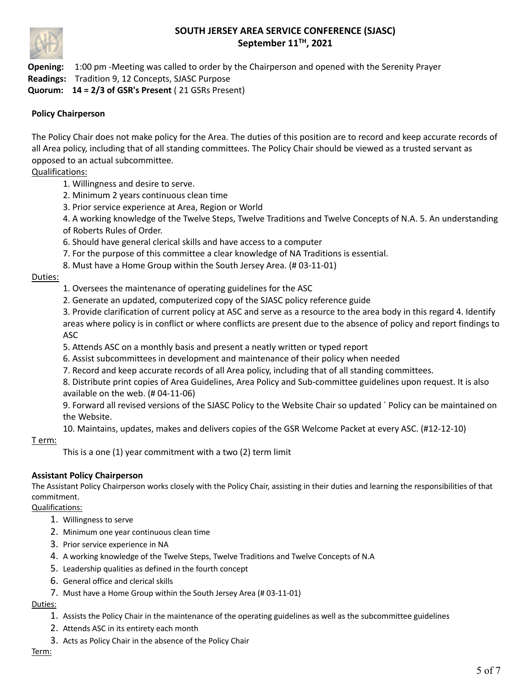

**Opening:** 1:00 pm -Meeting was called to order by the Chairperson and opened with the Serenity Prayer **Readings:** Tradition 9, 12 Concepts, SJASC Purpose **Quorum: 14 = 2/3 of GSR's Present** ( 21 GSRs Present)

## **Policy Chairperson**

The Policy Chair does not make policy for the Area. The duties of this position are to record and keep accurate records of all Area policy, including that of all standing committees. The Policy Chair should be viewed as a trusted servant as opposed to an actual subcommittee.

## Qualifications:

- 1. Willingness and desire to serve.
- 2. Minimum 2 years continuous clean time
- 3. Prior service experience at Area, Region or World

4. A working knowledge of the Twelve Steps, Twelve Traditions and Twelve Concepts of N.A. 5. An understanding of Roberts Rules of Order.

- 6. Should have general clerical skills and have access to a computer
- 7. For the purpose of this committee a clear knowledge of NA Traditions is essential.
- 8. Must have a Home Group within the South Jersey Area. (# 03-11-01)

## Duties:

- 1. Oversees the maintenance of operating guidelines for the ASC
- 2. Generate an updated, computerized copy of the SJASC policy reference guide

3. Provide clarification of current policy at ASC and serve as a resource to the area body in this regard 4. Identify areas where policy is in conflict or where conflicts are present due to the absence of policy and report findings to ASC

- 5. Attends ASC on a monthly basis and present a neatly written or typed report
- 6. Assist subcommittees in development and maintenance of their policy when needed
- 7. Record and keep accurate records of all Area policy, including that of all standing committees.

8. Distribute print copies of Area Guidelines, Area Policy and Sub-committee guidelines upon request. It is also available on the web. (# 04-11-06)

9. Forward all revised versions of the SJASC Policy to the Website Chair so updated ` Policy can be maintained on the Website.

10. Maintains, updates, makes and delivers copies of the GSR Welcome Packet at every ASC. (#12-12-10)

T erm:

This is a one (1) year commitment with a two (2) term limit

## **Assistant Policy Chairperson**

The Assistant Policy Chairperson works closely with the Policy Chair, assisting in their duties and learning the responsibilities of that commitment.

Qualifications:

- 1. Willingness to serve
- 2. Minimum one year continuous clean time
- 3. Prior service experience in NA
- 4. A working knowledge of the Twelve Steps, Twelve Traditions and Twelve Concepts of N.A
- 5. Leadership qualities as defined in the fourth concept
- 6. General office and clerical skills
- 7. Must have a Home Group within the South Jersey Area (# 03-11-01)

Duties:

- 1. Assists the Policy Chair in the maintenance of the operating guidelines as well as the subcommittee guidelines
- 2. Attends ASC in its entirety each month
- 3. Acts as Policy Chair in the absence of the Policy Chair

#### Term: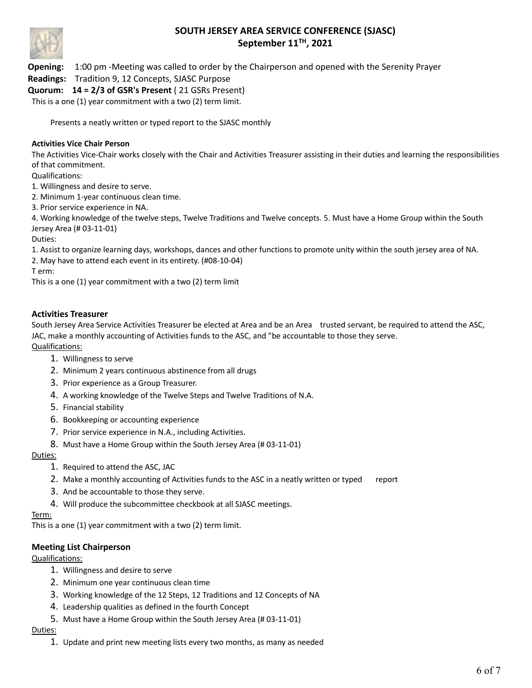

**Opening:** 1:00 pm -Meeting was called to order by the Chairperson and opened with the Serenity Prayer

**Readings:** Tradition 9, 12 Concepts, SJASC Purpose

**Quorum: 14 = 2/3 of GSR's Present** ( 21 GSRs Present)

This is a one (1) year commitment with a two (2) term limit.

Presents a neatly written or typed report to the SJASC monthly

#### **Activities Vice Chair Person**

The Activities Vice-Chair works closely with the Chair and Activities Treasurer assisting in their duties and learning the responsibilities of that commitment.

Qualifications:

1. Willingness and desire to serve.

2. Minimum 1-year continuous clean time.

3. Prior service experience in NA.

4. Working knowledge of the twelve steps, Twelve Traditions and Twelve concepts. 5. Must have a Home Group within the South Jersey Area (# 03-11-01)

Duties:

1. Assist to organize learning days, workshops, dances and other functions to promote unity within the south jersey area of NA.

2. May have to attend each event in its entirety. (#08-10-04)

T erm:

This is a one (1) year commitment with a two (2) term limit

## **Activities Treasurer**

South Jersey Area Service Activities Treasurer be elected at Area and be an Area trusted servant, be required to attend the ASC, JAC, make a monthly accounting of Activities funds to the ASC, and "be accountable to those they serve. Qualifications:

- 1. Willingness to serve
- 2. Minimum 2 years continuous abstinence from all drugs
- 3. Prior experience as a Group Treasurer.
- 4. A working knowledge of the Twelve Steps and Twelve Traditions of N.A.
- 5. Financial stability
- 6. Bookkeeping or accounting experience
- 7. Prior service experience in N.A., including Activities.
- 8. Must have a Home Group within the South Jersey Area (# 03-11-01)

Duties:

- 1. Required to attend the ASC, JAC
- 2. Make a monthly accounting of Activities funds to the ASC in a neatly written or typed report
- 3. And be accountable to those they serve.
- 4. Will produce the subcommittee checkbook at all SJASC meetings.

#### Term:

This is a one (1) year commitment with a two (2) term limit.

## **Meeting List Chairperson**

Qualifications:

- 1. Willingness and desire to serve
- 2. Minimum one year continuous clean time
- 3. Working knowledge of the 12 Steps, 12 Traditions and 12 Concepts of NA
- 4. Leadership qualities as defined in the fourth Concept
- 5. Must have a Home Group within the South Jersey Area (# 03-11-01)

## Duties:

1. Update and print new meeting lists every two months, as many as needed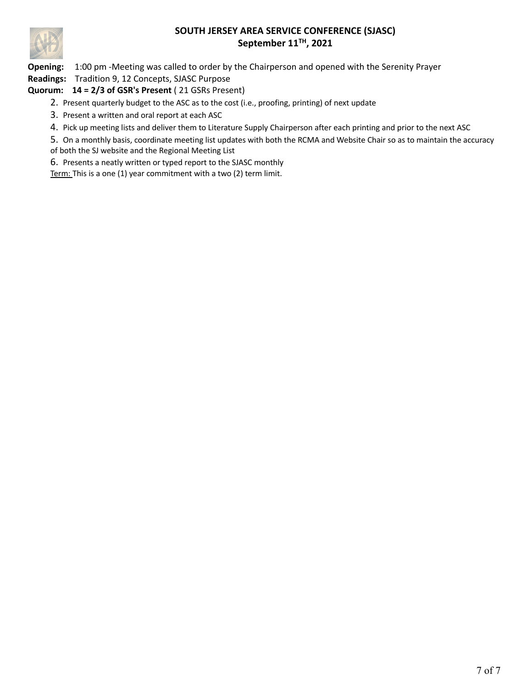

**Opening:** 1:00 pm -Meeting was called to order by the Chairperson and opened with the Serenity Prayer

**Readings:** Tradition 9, 12 Concepts, SJASC Purpose

## **Quorum: 14 = 2/3 of GSR's Present** ( 21 GSRs Present)

- 2. Present quarterly budget to the ASC as to the cost (i.e., proofing, printing) of next update
- 3. Present a written and oral report at each ASC
- 4. Pick up meeting lists and deliver them to Literature Supply Chairperson after each printing and prior to the next ASC
- 5. On a monthly basis, coordinate meeting list updates with both the RCMA and Website Chair so as to maintain the accuracy of both the SJ website and the Regional Meeting List

6. Presents a neatly written or typed report to the SJASC monthly

Term: This is a one (1) year commitment with a two (2) term limit.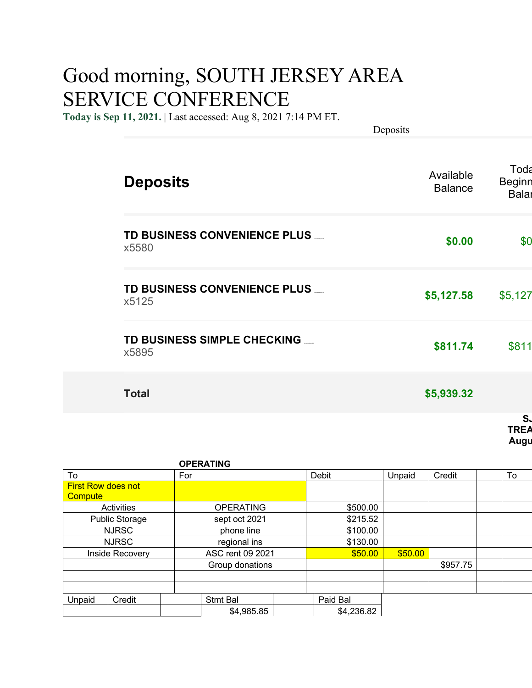# Good morning, SOUTH JERSEY AREA SERVICE CONFERENCE

**Today is Sep 11, 2021.** | Last accessed: Aug 8, 2021 7:14 PM ET.

Deposits

| <b>Deposits</b>                          | Available<br><b>Balance</b> | Toda<br><b>Beginn</b><br><b>Balar</b> |
|------------------------------------------|-----------------------------|---------------------------------------|
| TD BUSINESS CONVENIENCE PLUS __<br>x5580 | \$0.00                      | \$0                                   |
| TD BUSINESS CONVENIENCE PLUS<br>x5125    | \$5,127.58                  | \$5,127                               |
| TD BUSINESS SIMPLE CHECKING __<br>x5895  | \$811.74                    | \$811                                 |
| <b>Total</b>                             | \$5,939.32                  |                                       |
|                                          |                             | S.                                    |

| TREA |  |
|------|--|
| Augu |  |

|                                                     | <b>OPERATING</b> |            |         |          |    |
|-----------------------------------------------------|------------------|------------|---------|----------|----|
| To                                                  | For              | Debit      | Unpaid  | Credit   | To |
| <b>First Row does not</b><br><mark>Compute /</mark> |                  |            |         |          |    |
| Activities                                          | <b>OPERATING</b> | \$500.00   |         |          |    |
|                                                     |                  |            |         |          |    |
| <b>Public Storage</b>                               | sept oct 2021    | \$215.52   |         |          |    |
| <b>NJRSC</b>                                        | phone line       | \$100.00   |         |          |    |
| <b>NJRSC</b>                                        | regional ins     | \$130.00   |         |          |    |
| Inside Recovery                                     | ASC rent 09 2021 | \$50.00    | \$50.00 |          |    |
|                                                     | Group donations  |            |         | \$957.75 |    |
|                                                     |                  |            |         |          |    |
|                                                     |                  |            |         |          |    |
| Credit<br>Unpaid                                    | Stmt Bal         | Paid Bal   |         |          |    |
|                                                     | \$4,985.85       | \$4,236.82 |         |          |    |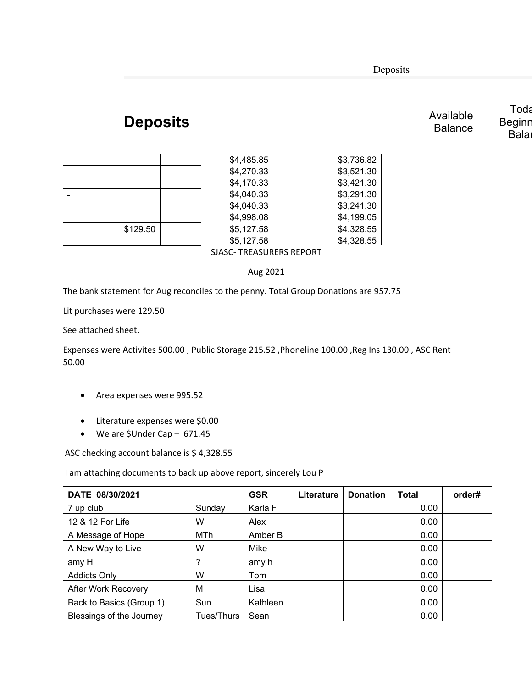Deposits

# **Deposits** Available Available

| Toda   |
|--------|
| Beginr |
| Bala   |

**Balance** 

| \$129.50 |  |
|----------|--|
|          |  |

 $$5,127.58$   $$4,328.55$ SJASC- TREASURERS REPORT

 $$4,485.85$   $$3,736.82$  $$4,270.33$   $$3,521.30$  $$4,170.33$   $$3,421.30$  $$4,040.33$   $$3,291.30$  $$4,040.33$   $$3,241.30$  $$4,998.08$   $$4,199.05$  $$5,127.58$  \$4,328.55

Aug 2021

The bank statement for Aug reconciles to the penny. Total Group Donations are 957.75

Lit purchases were 129.50

See attached sheet.

Expenses were Activites 500.00 , Public Storage 215.52 ,Phoneline 100.00 ,Reg Ins 130.00 , ASC Rent 50.00

- Area expenses were 995.52
- Literature expenses were \$0.00
- We are \$Under Cap 671.45

ASC checking account balance is \$ 4,328.55

I am attaching documents to back up above report, sincerely Lou P

| DATE 08/30/2021            |            | <b>GSR</b> | Literature | <b>Donation</b> | Total | order# |
|----------------------------|------------|------------|------------|-----------------|-------|--------|
| 7 up club                  | Sunday     | Karla F    |            |                 | 0.00  |        |
| 12 & 12 For Life           | W          | Alex       |            |                 | 0.00  |        |
| A Message of Hope          | MTh        | Amber B    |            |                 | 0.00  |        |
| A New Way to Live          | W          | Mike       |            |                 | 0.00  |        |
| amy H                      | ?          | amy h      |            |                 | 0.00  |        |
| <b>Addicts Only</b>        | W          | Tom        |            |                 | 0.00  |        |
| <b>After Work Recovery</b> | М          | Lisa       |            |                 | 0.00  |        |
| Back to Basics (Group 1)   | Sun        | Kathleen   |            |                 | 0.00  |        |
| Blessings of the Journey   | Tues/Thurs | Sean       |            |                 | 0.00  |        |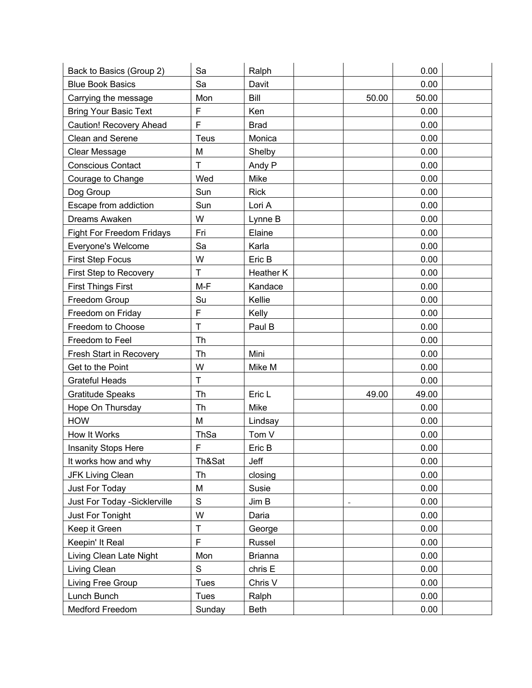| Back to Basics (Group 2)      | Sa           | Ralph          |                          | 0.00  |  |
|-------------------------------|--------------|----------------|--------------------------|-------|--|
| <b>Blue Book Basics</b>       | Sa           | Davit          |                          | 0.00  |  |
| Carrying the message          | Mon          | Bill           | 50.00                    | 50.00 |  |
| <b>Bring Your Basic Text</b>  | F            | Ken            |                          | 0.00  |  |
| Caution! Recovery Ahead       | F            | <b>Brad</b>    |                          | 0.00  |  |
| <b>Clean and Serene</b>       | Teus         | Monica         |                          | 0.00  |  |
| Clear Message                 | M            | Shelby         |                          | 0.00  |  |
| <b>Conscious Contact</b>      | T            | Andy P         |                          | 0.00  |  |
| Courage to Change             | Wed          | Mike           |                          | 0.00  |  |
| Dog Group                     | Sun          | <b>Rick</b>    |                          | 0.00  |  |
| Escape from addiction         | Sun          | Lori A         |                          | 0.00  |  |
| Dreams Awaken                 | W            | Lynne B        |                          | 0.00  |  |
| Fight For Freedom Fridays     | Fri          | Elaine         |                          | 0.00  |  |
| Everyone's Welcome            | Sa           | Karla          |                          | 0.00  |  |
| <b>First Step Focus</b>       | W            | Eric B         |                          | 0.00  |  |
| First Step to Recovery        | $\mathsf{T}$ | Heather K      |                          | 0.00  |  |
| <b>First Things First</b>     | $M-F$        | Kandace        |                          | 0.00  |  |
| Freedom Group                 | Su           | Kellie         |                          | 0.00  |  |
| Freedom on Friday             | $\mathsf F$  | Kelly          |                          | 0.00  |  |
| Freedom to Choose             | T            | Paul B         |                          | 0.00  |  |
| Freedom to Feel               | Th           |                |                          | 0.00  |  |
| Fresh Start in Recovery       | Th           | Mini           |                          | 0.00  |  |
| Get to the Point              | W            | Mike M         |                          | 0.00  |  |
| <b>Grateful Heads</b>         | $\mathsf T$  |                |                          | 0.00  |  |
| Gratitude Speaks              | Th           | Eric L         | 49.00                    | 49.00 |  |
| Hope On Thursday              | Th           | Mike           |                          | 0.00  |  |
| <b>HOW</b>                    | M            | Lindsay        |                          | 0.00  |  |
| How It Works                  | ThSa         | Tom V          |                          | 0.00  |  |
| <b>Insanity Stops Here</b>    | F            | Eric B         |                          | 0.00  |  |
| It works how and why          | Th&Sat       | Jeff           |                          | 0.00  |  |
| <b>JFK Living Clean</b>       | Th           | closing        |                          | 0.00  |  |
| Just For Today                | M            | Susie          |                          | 0.00  |  |
| Just For Today - Sicklerville | $\mathbf S$  | Jim B          | $\overline{\phantom{0}}$ | 0.00  |  |
| Just For Tonight              | W            | Daria          |                          | 0.00  |  |
| Keep it Green                 | T            | George         |                          | 0.00  |  |
| Keepin' It Real               | $\mathsf F$  | Russel         |                          | 0.00  |  |
| Living Clean Late Night       | Mon          | <b>Brianna</b> |                          | 0.00  |  |
| Living Clean                  | $\mathbf S$  | chris E        |                          | 0.00  |  |
| Living Free Group             | <b>Tues</b>  | Chris V        |                          | 0.00  |  |
| Lunch Bunch                   | Tues         | Ralph          |                          | 0.00  |  |
| Medford Freedom               | Sunday       | <b>Beth</b>    |                          | 0.00  |  |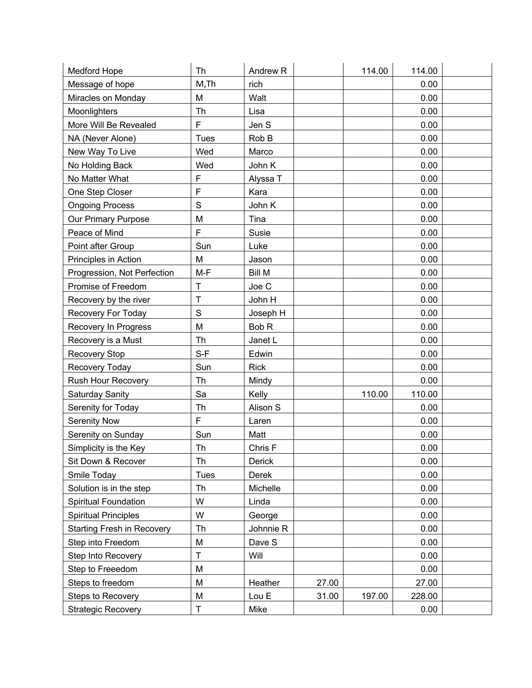| Medford Hope                      | Th          | Andrew <sub>R</sub> |       | 114.00 | 114.00 |  |
|-----------------------------------|-------------|---------------------|-------|--------|--------|--|
| Message of hope                   | M, Th       | rich                |       |        | 0.00   |  |
| Miracles on Monday                | M           | Walt                |       |        | 0.00   |  |
| Moonlighters                      | Th          | Lisa                |       |        | 0.00   |  |
| More Will Be Revealed             | F           | Jen S               |       |        | 0.00   |  |
| NA (Never Alone)                  | <b>Tues</b> | Rob B               |       |        | 0.00   |  |
| New Way To Live                   | Wed         | Marco               |       |        | 0.00   |  |
| No Holding Back                   | Wed         | John K              |       |        | 0.00   |  |
| No Matter What                    | F           | Alyssa T            |       |        | 0.00   |  |
| One Step Closer                   | F           | Kara                |       |        | 0.00   |  |
| <b>Ongoing Process</b>            | S           | John K              |       |        | 0.00   |  |
| Our Primary Purpose               | M           | Tina                |       |        | 0.00   |  |
| Peace of Mind                     | F           | Susie               |       |        | 0.00   |  |
| Point after Group                 | Sun         | Luke                |       |        | 0.00   |  |
| Principles in Action              | M           | Jason               |       |        | 0.00   |  |
| Progression, Not Perfection       | $M-F$       | <b>Bill M</b>       |       |        | 0.00   |  |
| Promise of Freedom                | T           | Joe C               |       |        | 0.00   |  |
| Recovery by the river             | T           | John H              |       |        | 0.00   |  |
| Recovery For Today                | $\mathsf S$ | Joseph H            |       |        | 0.00   |  |
| Recovery In Progress              | M           | Bob <sub>R</sub>    |       |        | 0.00   |  |
| Recovery is a Must                | Th          | Janet L             |       |        | 0.00   |  |
| <b>Recovery Stop</b>              | $S-F$       | Edwin               |       |        | 0.00   |  |
| Recovery Today                    | Sun         | <b>Rick</b>         |       |        | 0.00   |  |
| <b>Rush Hour Recovery</b>         | Th          | Mindy               |       |        | 0.00   |  |
| <b>Saturday Sanity</b>            | Sa          | Kelly               |       | 110.00 | 110.00 |  |
| Serenity for Today                | Th          | Alison S            |       |        | 0.00   |  |
| Serenity Now                      | F           | Laren               |       |        | 0.00   |  |
| Serenity on Sunday                | Sun         | Matt                |       |        | 0.00   |  |
| Simplicity is the Key             | Th          | Chris F             |       |        | 0.00   |  |
| Sit Down & Recover                | Th          | Derick              |       |        | 0.00   |  |
| Smile Today                       | <b>Tues</b> | Derek               |       |        | 0.00   |  |
| Solution is in the step           | Th          | Michelle            |       |        | 0.00   |  |
| Spiritual Foundation              | W           | Linda               |       |        | 0.00   |  |
| <b>Spiritual Principles</b>       | W           | George              |       |        | 0.00   |  |
| <b>Starting Fresh in Recovery</b> | Th          | Johnnie R           |       |        | 0.00   |  |
| Step into Freedom                 | M           | Dave S              |       |        | 0.00   |  |
| Step Into Recovery                | T           | Will                |       |        | 0.00   |  |
| Step to Freeedom                  | M           |                     |       |        | 0.00   |  |
| Steps to freedom                  | M           | Heather             | 27.00 |        | 27.00  |  |
| <b>Steps to Recovery</b>          | M           | Lou E               | 31.00 | 197.00 | 228.00 |  |
| <b>Strategic Recovery</b>         | T           | Mike                |       |        | 0.00   |  |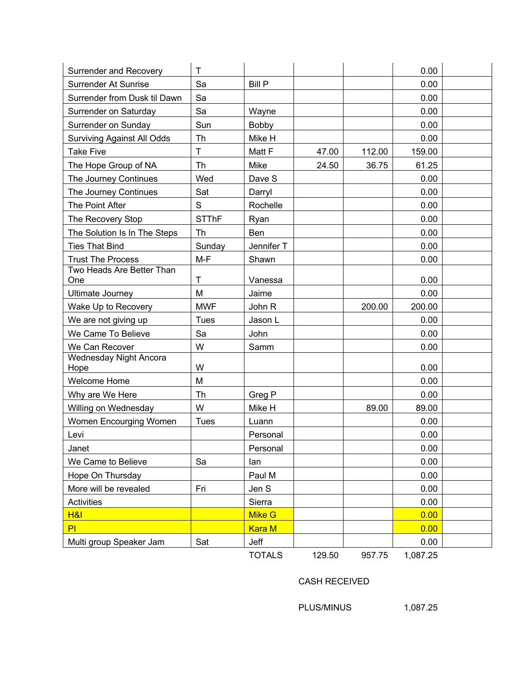| <b>Surrender and Recovery</b>         | $\mathsf T$  |               |        |        | 0.00     |  |
|---------------------------------------|--------------|---------------|--------|--------|----------|--|
| Surrender At Sunrise                  | Sa           | <b>Bill P</b> |        |        | 0.00     |  |
| Surrender from Dusk til Dawn          | Sa           |               |        |        | 0.00     |  |
| Surrender on Saturday                 | Sa           | Wayne         |        |        | 0.00     |  |
| Surrender on Sunday                   | Sun          | <b>Bobby</b>  |        |        | 0.00     |  |
| <b>Surviving Against All Odds</b>     | Th           | Mike H        |        |        | 0.00     |  |
| <b>Take Five</b>                      | T            | Matt F        | 47.00  | 112.00 | 159.00   |  |
| The Hope Group of NA                  | Th           | <b>Mike</b>   | 24.50  | 36.75  | 61.25    |  |
| The Journey Continues                 | Wed          | Dave S        |        |        | 0.00     |  |
| The Journey Continues                 | Sat          | Darryl        |        |        | 0.00     |  |
| The Point After                       | $\mathbf S$  | Rochelle      |        |        | 0.00     |  |
| The Recovery Stop                     | <b>STThF</b> | Ryan          |        |        | 0.00     |  |
| The Solution Is In The Steps          | <b>Th</b>    | Ben           |        |        | 0.00     |  |
| <b>Ties That Bind</b>                 | Sunday       | Jennifer T    |        |        | 0.00     |  |
| <b>Trust The Process</b>              | $M-F$        | Shawn         |        |        | 0.00     |  |
| Two Heads Are Better Than             |              |               |        |        |          |  |
| One                                   | $\mathsf T$  | Vanessa       |        |        | 0.00     |  |
| <b>Ultimate Journey</b>               | M            | Jaime         |        |        | 0.00     |  |
| Wake Up to Recovery                   | <b>MWF</b>   | John R        |        | 200.00 | 200.00   |  |
| We are not giving up                  | <b>Tues</b>  | Jason L       |        |        | 0.00     |  |
| We Came To Believe                    | Sa           | John          |        |        | 0.00     |  |
| We Can Recover                        | W            | Samm          |        |        | 0.00     |  |
| <b>Wednesday Night Ancora</b><br>Hope | W            |               |        |        | 0.00     |  |
| <b>Welcome Home</b>                   | M            |               |        |        | 0.00     |  |
| Why are We Here                       | Th           | Greg P        |        |        | 0.00     |  |
| Willing on Wednesday                  | W            | Mike H        |        | 89.00  | 89.00    |  |
| Women Encourging Women                | <b>Tues</b>  | Luann         |        |        | 0.00     |  |
| Levi                                  |              | Personal      |        |        | 0.00     |  |
| Janet                                 |              | Personal      |        |        | 0.00     |  |
| We Came to Believe                    | Sa           | lan           |        |        | 0.00     |  |
| Hope On Thursday                      |              | Paul M        |        |        | 0.00     |  |
| More will be revealed                 | Fri          | Jen S         |        |        | 0.00     |  |
| Activities                            |              | Sierra        |        |        | 0.00     |  |
| <b>H&amp;I</b>                        |              | Mike G        |        |        | 0.00     |  |
| PI                                    |              | <b>Kara M</b> |        |        | 0.00     |  |
| Multi group Speaker Jam               | Sat          | Jeff          |        |        | 0.00     |  |
|                                       |              | <b>TOTALS</b> | 129.50 | 957.75 | 1,087.25 |  |

CASH RECEIVED

PLUS/MINUS 1,087.25